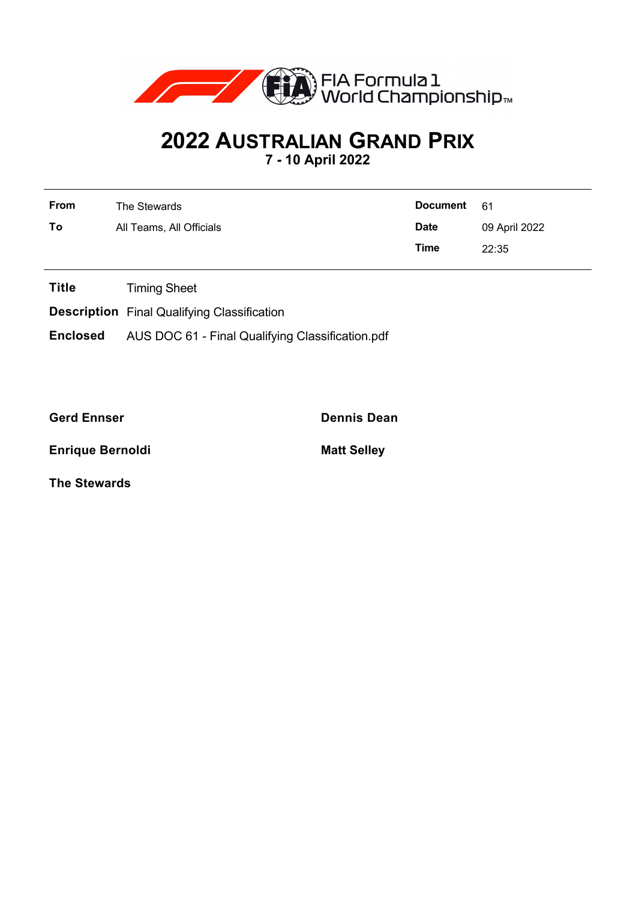

## **2022 AUSTRALIAN GRAND PRIX**

**7 - 10 April 2022**

| <b>From</b> | The Stewards             | Document    | - 61          |
|-------------|--------------------------|-------------|---------------|
| To          | All Teams, All Officials | <b>Date</b> | 09 April 2022 |
|             |                          | Time        | 22:35         |

**Title** Timing Sheet

**Description** Final Qualifying Classification

**Enclosed** AUS DOC 61 - Final Qualifying Classification.pdf

**Gerd Ennser Dennis Dean**

**Enrique Bernoldi Matt Selley** 

**The Stewards**